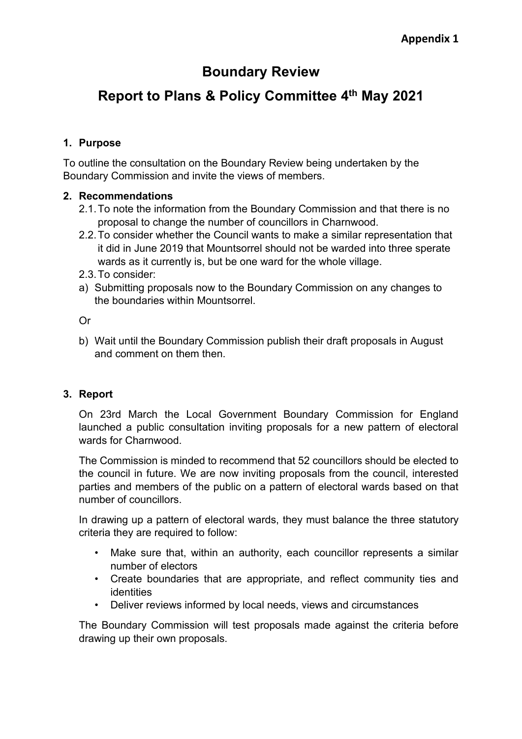## **Boundary Review**

# **Report to Plans & Policy Committee 4 th May 2021**

#### **1. Purpose**

To outline the consultation on the Boundary Review being undertaken by the Boundary Commission and invite the views of members.

#### **2. Recommendations**

- 2.1.To note the information from the Boundary Commission and that there is no proposal to change the number of councillors in Charnwood.
- 2.2.To consider whether the Council wants to make a similar representation that it did in June 2019 that Mountsorrel should not be warded into three sperate wards as it currently is, but be one ward for the whole village.
- 2.3.To consider:
- a) Submitting proposals now to the Boundary Commission on any changes to the boundaries within Mountsorrel.

Or

b) Wait until the Boundary Commission publish their draft proposals in August and comment on them then.

#### **3. Report**

On 23rd March the Local Government Boundary Commission for England launched a public consultation inviting proposals for a new pattern of electoral wards for Charnwood.

The Commission is minded to recommend that 52 councillors should be elected to the council in future. We are now inviting proposals from the council, interested parties and members of the public on a pattern of electoral wards based on that number of councillors.

In drawing up a pattern of electoral wards, they must balance the three statutory criteria they are required to follow:

- Make sure that, within an authority, each councillor represents a similar number of electors
- Create boundaries that are appropriate, and reflect community ties and **identities**
- Deliver reviews informed by local needs, views and circumstances

The Boundary Commission will test proposals made against the criteria before drawing up their own proposals.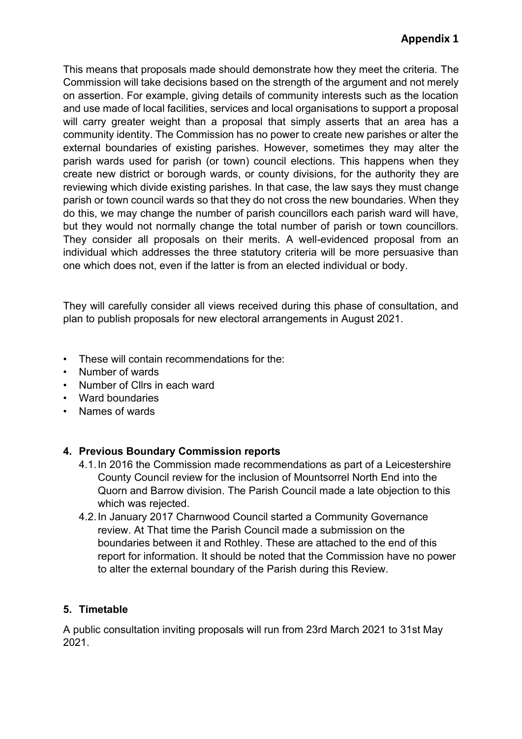This means that proposals made should demonstrate how they meet the criteria. The Commission will take decisions based on the strength of the argument and not merely on assertion. For example, giving details of community interests such as the location and use made of local facilities, services and local organisations to support a proposal will carry greater weight than a proposal that simply asserts that an area has a community identity. The Commission has no power to create new parishes or alter the external boundaries of existing parishes. However, sometimes they may alter the parish wards used for parish (or town) council elections. This happens when they create new district or borough wards, or county divisions, for the authority they are reviewing which divide existing parishes. In that case, the law says they must change parish or town council wards so that they do not cross the new boundaries. When they do this, we may change the number of parish councillors each parish ward will have, but they would not normally change the total number of parish or town councillors. They consider all proposals on their merits. A well-evidenced proposal from an individual which addresses the three statutory criteria will be more persuasive than one which does not, even if the latter is from an elected individual or body.

They will carefully consider all views received during this phase of consultation, and plan to publish proposals for new electoral arrangements in August 2021.

- These will contain recommendations for the:
- Number of wards
- Number of Cllrs in each ward
- Ward boundaries
- Names of wards

#### **4. Previous Boundary Commission reports**

- 4.1.In 2016 the Commission made recommendations as part of a Leicestershire County Council review for the inclusion of Mountsorrel North End into the Quorn and Barrow division. The Parish Council made a late objection to this which was rejected.
- 4.2.In January 2017 Charnwood Council started a Community Governance review. At That time the Parish Council made a submission on the boundaries between it and Rothley. These are attached to the end of this report for information. It should be noted that the Commission have no power to alter the external boundary of the Parish during this Review.

### **5. Timetable**

A public consultation inviting proposals will run from 23rd March 2021 to 31st May 2021.